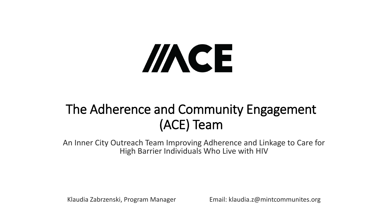# //NCE

# The Adherence and Community Engagement (ACE) Team

An Inner City Outreach Team Improving Adherence and Linkage to Care for High Barrier Individuals Who Live with HIV

Klaudia Zabrzenski, Program Manager Email: klaudia.z@mintcommunites.org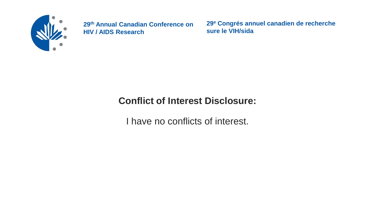

**29<sup>e</sup> Congrés annuel canadien de recherche sure le VIH/sida**

## **Conflict of Interest Disclosure:**

I have no conflicts of interest.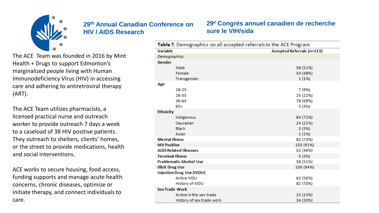

#### The ACE Team was founded in 2016 by Mint Health + Drugs to support Edmonton's marginalized people living with Human Immunodeficiency Virus (HIV) in accessing care and adhering to antiretroviral therapy (ART).

The ACE Team utilizes pharmacists, a licensed practical nurse and outreach worker to provide outreach 7 days a week to a caseload of 38 HIV positive patients. They outreach to shelters, clients' homes, or the street to provide medications, health and social interventions.

ACE works to secure housing, food access, funding supports and manage acute health concerns, chronic diseases, optimize or initiate therapy, and connect individuals to care.

#### **29<sup>e</sup> Congrés annuel canadien de recherche sure le VIH/sida**

| Table 7. Demographics on all accepted referrals to the ACE Program |                            |  |
|--------------------------------------------------------------------|----------------------------|--|
| <b>Variable</b>                                                    | Accepted Referrals (n=113) |  |
| Demographics                                                       |                            |  |
| Gender                                                             |                            |  |
| Male                                                               | 58 (51%)                   |  |
| Female                                                             | 54 (48%)                   |  |
| Transgender                                                        | 1(1%)                      |  |
| Age                                                                |                            |  |
| $18 - 25$                                                          | 7 (6%)                     |  |
| 26-35                                                              | 25 (22%)                   |  |
| 36-64                                                              | 78 (69%)                   |  |
| $65+$                                                              | 3 (3%)                     |  |
| <b>Ethnicity</b>                                                   |                            |  |
| Indigenous                                                         | 84 (72%)                   |  |
| Caucasian                                                          | 24 (21%)                   |  |
| <b>Black</b>                                                       | 3(3%)                      |  |
| Asian                                                              | 1(1%)                      |  |
| <b>Mental Illness</b>                                              | 82 (73%)                   |  |
| <b>HIV Positive</b>                                                | 103 (91%)                  |  |
| <b>AIDS Related Illnesses</b>                                      | 52 (46%)                   |  |
| <b>Terminal Illness</b>                                            | 3(3%)                      |  |
| <b>Problematic Alcohol Use</b>                                     | 58 (51%)                   |  |
| <b>Illicit Drug Use</b>                                            | 106 (94%)                  |  |
| <b>Injection Drug Use (IVDU)</b>                                   |                            |  |
| <b>Active IVDU</b>                                                 | 63 (56%)                   |  |
| History of IVDU                                                    | 82 (70%)                   |  |
| <b>Sex Trade Work</b>                                              |                            |  |
| Active in the sex trade                                            | 15 (13%)                   |  |
| History of sex trade work                                          | 34 (30%)                   |  |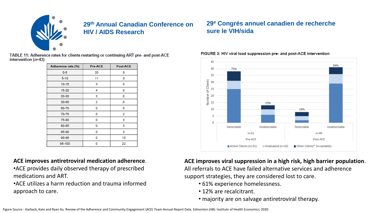

TABLE 11: Adherence rates for clients restarting or continuing ART pre- and post-ACE intervention  $(n=43)$ 

| Adherence rate (%) | Pre-ACE | <b>Post-ACE</b> |
|--------------------|---------|-----------------|
| $0 - 5$            | 20      | 0               |
| $5 - 10$           | 11      | 0               |
| 10-15              | з       | 0               |
| 15-20              | 4       | 0               |
| 20-30              | 3       | 0               |
| $30 - 60$          | 2       | 0               |
| 60-70              | 0       | 0               |
| 70-75              | 0       | 2               |
| 75-80              | 0       | 3               |
| 80-85              | 0       | з               |
| 85-90              | 0       | з               |
| 90-95              | 0       | 10              |
| 95-100             | ٥       | 22              |

#### **ACE improves antiretroviral medication adherence**.

- •ACE provides daily observed therapy of prescribed medications and ART.
- •ACE utilizes a harm reduction and trauma informed approach to care.

## **29<sup>e</sup> Congrés annuel canadien de recherche sure le VIH/sida**

#### 45 84% 40 75% 35 of Clients 30 25  $\begin{array}{c}\n\overline{a} & 20 \\
\overline{f} & 15\n\end{array}$ 25% 10 16% Detectable Undetectable Detectable Undetectable  $n=51$  $n = 49$ Pre-ACE Post-ACE Active Clients (n=31) Graduated (n=10) Other Clients\* (n=variable)

#### FIGURE 3: HIV viral load suppression pre- and post-ACE intervention

**ACE improves viral suppression in a high risk, high barrier population**. All referrals to ACE have failed alternative services and adherence support strategies, they are considered lost to care.

- 61% experience homelessness.
- 12% are recalcitrant.
- majority are on salvage antiretroviral therapy.